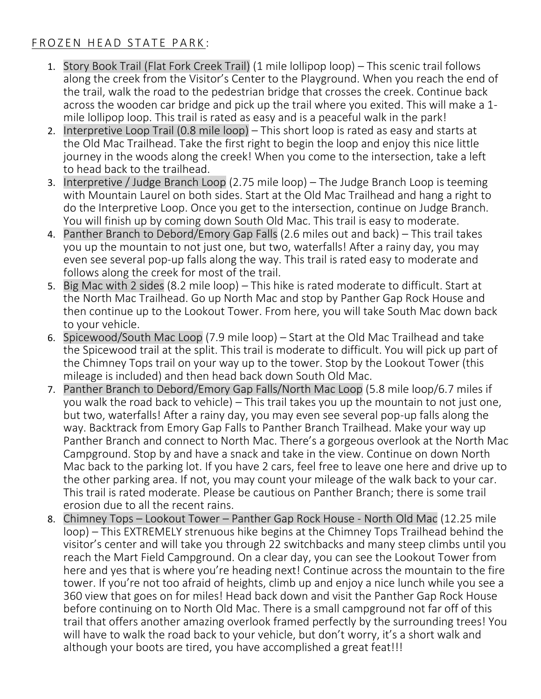#### FROZEN HEAD STATE PARK:

- 1. Story Book Trail (Flat Fork Creek Trail) (1 mile lollipop loop) This scenic trail follows along the creek from the Visitor's Center to the Playground. When you reach the end of the trail, walk the road to the pedestrian bridge that crosses the creek. Continue back across the wooden car bridge and pick up the trail where you exited. This will make a 1 mile lollipop loop. This trail is rated as easy and is a peaceful walk in the park!
- 2. Interpretive Loop Trail (0.8 mile loop) This short loop is rated as easy and starts at the Old Mac Trailhead. Take the first right to begin the loop and enjoy this nice little journey in the woods along the creek! When you come to the intersection, take a left to head back to the trailhead.
- 3. Interpretive / Judge Branch Loop (2.75 mile loop) The Judge Branch Loop is teeming with Mountain Laurel on both sides. Start at the Old Mac Trailhead and hang a right to do the Interpretive Loop. Once you get to the intersection, continue on Judge Branch. You will finish up by coming down South Old Mac. This trail is easy to moderate.
- 4. Panther Branch to Debord/Emory Gap Falls (2.6 miles out and back) This trail takes you up the mountain to not just one, but two, waterfalls! After a rainy day, you may even see several pop-up falls along the way. This trail is rated easy to moderate and follows along the creek for most of the trail.
- 5. Big Mac with 2 sides (8.2 mile loop) This hike is rated moderate to difficult. Start at the North Mac Trailhead. Go up North Mac and stop by Panther Gap Rock House and then continue up to the Lookout Tower. From here, you will take South Mac down back to your vehicle.
- 6. Spicewood/South Mac Loop (7.9 mile loop) Start at the Old Mac Trailhead and take the Spicewood trail at the split. This trail is moderate to difficult. You will pick up part of the Chimney Tops trail on your way up to the tower. Stop by the Lookout Tower (this mileage is included) and then head back down South Old Mac.
- 7. Panther Branch to Debord/Emory Gap Falls/North Mac Loop (5.8 mile loop/6.7 miles if you walk the road back to vehicle) – This trail takes you up the mountain to not just one, but two, waterfalls! After a rainy day, you may even see several pop-up falls along the way. Backtrack from Emory Gap Falls to Panther Branch Trailhead. Make your way up Panther Branch and connect to North Mac. There's a gorgeous overlook at the North Mac Campground. Stop by and have a snack and take in the view. Continue on down North Mac back to the parking lot. If you have 2 cars, feel free to leave one here and drive up to the other parking area. If not, you may count your mileage of the walk back to your car. This trail is rated moderate. Please be cautious on Panther Branch; there is some trail erosion due to all the recent rains.
- 8. Chimney Tops Lookout Tower Panther Gap Rock House North Old Mac (12.25 mile loop) – This EXTREMELY strenuous hike begins at the Chimney Tops Trailhead behind the visitor's center and will take you through 22 switchbacks and many steep climbs until you reach the Mart Field Campground. On a clear day, you can see the Lookout Tower from here and yes that is where you're heading next! Continue across the mountain to the fire tower. If you're not too afraid of heights, climb up and enjoy a nice lunch while you see a 360 view that goes on for miles! Head back down and visit the Panther Gap Rock House before continuing on to North Old Mac. There is a small campground not far off of this trail that offers another amazing overlook framed perfectly by the surrounding trees! You will have to walk the road back to your vehicle, but don't worry, it's a short walk and although your boots are tired, you have accomplished a great feat!!!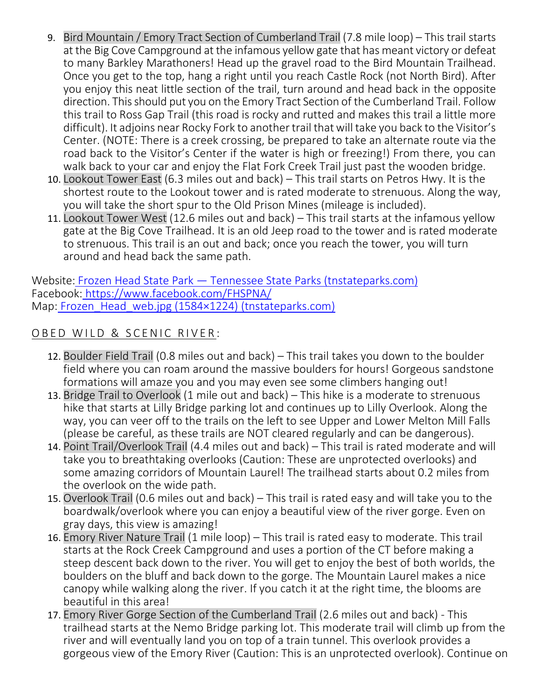- 9. Bird Mountain / Emory Tract Section of Cumberland Trail (7.8 mile loop) This trail starts at the Big Cove Campground at the infamous yellow gate that has meant victory or defeat to many Barkley Marathoners! Head up the gravel road to the Bird Mountain Trailhead. Once you get to the top, hang a right until you reach Castle Rock (not North Bird). After you enjoy this neat little section of the trail, turn around and head back in the opposite direction. This should put you on the Emory Tract Section of the Cumberland Trail. Follow this trail to Ross Gap Trail (this road is rocky and rutted and makes this trail a little more difficult). It adjoins near Rocky Fork to another trail that will take you back to the Visitor's Center. (NOTE: There is a creek crossing, be prepared to take an alternate route via the road back to the Visitor's Center if the water is high or freezing!) From there, you can walk back to your car and enjoy the Flat Fork Creek Trail just past the wooden bridge.
- 10. Lookout Tower East (6.3 miles out and back) This trail starts on Petros Hwy. It is the shortest route to the Lookout tower and is rated moderate to strenuous. Along the way, you will take the short spur to the Old Prison Mines (mileage is included).
- 11. Lookout Tower West (12.6 miles out and back) This trail starts at the infamous yellow gate at the Big Cove Trailhead. It is an old Jeep road to the tower and is rated moderate to strenuous. This trail is an out and back; once you reach the tower, you will turn around and head back the same path.

Website: Frozen Head State Park — [Tennessee State Parks \(tnstateparks.com\)](https://tnstateparks.com/parks/frozen-head) Facebook: <https://www.facebook.com/FHSPNA/> Map: Frozen Head web.jpg (1584×1224) (tnstateparks.com)

### OBED WILD & SCENIC RIVER:

- 12. Boulder Field Trail (0.8 miles out and back) This trail takes you down to the boulder field where you can roam around the massive boulders for hours! Gorgeous sandstone formations will amaze you and you may even see some climbers hanging out!
- 13. Bridge Trail to Overlook (1 mile out and back) This hike is a moderate to strenuous hike that starts at Lilly Bridge parking lot and continues up to Lilly Overlook. Along the way, you can veer off to the trails on the left to see Upper and Lower Melton Mill Falls (please be careful, as these trails are NOT cleared regularly and can be dangerous).
- 14. Point Trail/Overlook Trail (4.4 miles out and back) This trail is rated moderate and will take you to breathtaking overlooks (Caution: These are unprotected overlooks) and some amazing corridors of Mountain Laurel! The trailhead starts about 0.2 miles from the overlook on the wide path.
- 15. Overlook Trail (0.6 miles out and back) This trail is rated easy and will take you to the boardwalk/overlook where you can enjoy a beautiful view of the river gorge. Even on gray days, this view is amazing!
- 16. Emory River Nature Trail (1 mile loop) This trail is rated easy to moderate. This trail starts at the Rock Creek Campground and uses a portion of the CT before making a steep descent back down to the river. You will get to enjoy the best of both worlds, the boulders on the bluff and back down to the gorge. The Mountain Laurel makes a nice canopy while walking along the river. If you catch it at the right time, the blooms are beautiful in this area!
- 17. Emory River Gorge Section of the Cumberland Trail (2.6 miles out and back) This trailhead starts at the Nemo Bridge parking lot. This moderate trail will climb up from the river and will eventually land you on top of a train tunnel. This overlook provides a gorgeous view of the Emory River (Caution: This is an unprotected overlook). Continue on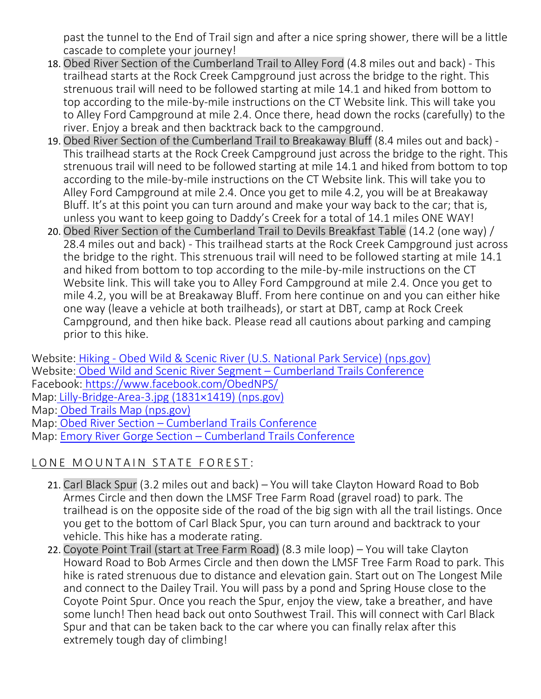past the tunnel to the End of Trail sign and after a nice spring shower, there will be a little cascade to complete your journey!

- 18. Obed River Section of the Cumberland Trail to Alley Ford (4.8 miles out and back) This trailhead starts at the Rock Creek Campground just across the bridge to the right. This strenuous trail will need to be followed starting at mile 14.1 and hiked from bottom to top according to the mile-by-mile instructions on the CT Website link. This will take you to Alley Ford Campground at mile 2.4. Once there, head down the rocks (carefully) to the river. Enjoy a break and then backtrack back to the campground.
- 19. Obed River Section of the Cumberland Trail to Breakaway Bluff (8.4 miles out and back) This trailhead starts at the Rock Creek Campground just across the bridge to the right. This strenuous trail will need to be followed starting at mile 14.1 and hiked from bottom to top according to the mile-by-mile instructions on the CT Website link. This will take you to Alley Ford Campground at mile 2.4. Once you get to mile 4.2, you will be at Breakaway Bluff. It's at this point you can turn around and make your way back to the car; that is, unless you want to keep going to Daddy's Creek for a total of 14.1 miles ONE WAY!
- 20. Obed River Section of the Cumberland Trail to Devils Breakfast Table (14.2 (one way) / 28.4 miles out and back) - This trailhead starts at the Rock Creek Campground just across the bridge to the right. This strenuous trail will need to be followed starting at mile 14.1 and hiked from bottom to top according to the mile-by-mile instructions on the CT Website link. This will take you to Alley Ford Campground at mile 2.4. Once you get to mile 4.2, you will be at Breakaway Bluff. From here continue on and you can either hike one way (leave a vehicle at both trailheads), or start at DBT, camp at Rock Creek Campground, and then hike back. Please read all cautions about parking and camping prior to this hike.

Website: Hiking - [Obed Wild & Scenic River \(U.S. National Park Service\) \(nps.gov\)](https://www.nps.gov/obed/planyourvisit/hiking.htm) Website: [Obed Wild and Scenic River Segment](https://www.cumberlandtrail.org/trail-segments/obed-wild-and-scenic-river-segment/) – Cumberland Trails Conference

Facebook: <https://www.facebook.com/ObedNPS/>

Map: [Lilly-Bridge-Area-3.jpg \(1831×1419\) \(nps.gov\)](https://www.nps.gov/obed/planyourvisit/upload/Lilly-Bridge-Area-3.jpg)

Map: [Obed Trails Map \(nps.gov\)](https://www.nps.gov/obed/planyourvisit/upload/Obed-Trails-Final-508-2.pdf)

Map: Obed River Section – [Cumberland Trails Conference](https://www.cumberlandtrail.org/trail-segments/obed-wild-and-scenic-river-segment/obed-river-section/)

Map: Emory River Gorge Section – [Cumberland Trails Conference](https://www.cumberlandtrail.org/trail-segments/obed-wild-and-scenic-river-segment/emory-river-gorge-section/)

# LONE MOUNTAIN STATE FOREST:

- 21. Carl Black Spur (3.2 miles out and back) You will take Clayton Howard Road to Bob Armes Circle and then down the LMSF Tree Farm Road (gravel road) to park. The trailhead is on the opposite side of the road of the big sign with all the trail listings. Once you get to the bottom of Carl Black Spur, you can turn around and backtrack to your vehicle. This hike has a moderate rating.
- 22. Coyote Point Trail (start at Tree Farm Road) (8.3 mile loop) You will take Clayton Howard Road to Bob Armes Circle and then down the LMSF Tree Farm Road to park. This hike is rated strenuous due to distance and elevation gain. Start out on The Longest Mile and connect to the Dailey Trail. You will pass by a pond and Spring House close to the Coyote Point Spur. Once you reach the Spur, enjoy the view, take a breather, and have some lunch! Then head back out onto Southwest Trail. This will connect with Carl Black Spur and that can be taken back to the car where you can finally relax after this extremely tough day of climbing!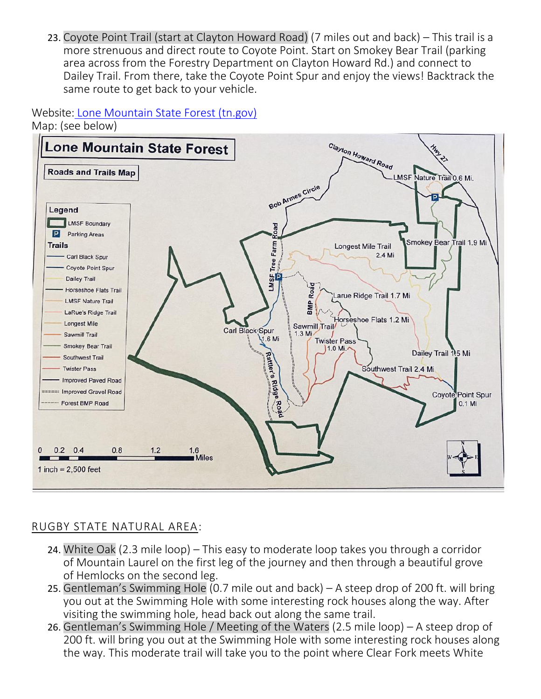23. Coyote Point Trail (start at Clayton Howard Road) (7 miles out and back) – This trail is a more strenuous and direct route to Coyote Point. Start on Smokey Bear Trail (parking area across from the Forestry Department on Clayton Howard Rd.) and connect to Dailey Trail. From there, take the Coyote Point Spur and enjoy the views! Backtrack the same route to get back to your vehicle.

Website: [Lone Mountain State Forest \(tn.gov\)](https://www.tn.gov/agriculture/forests/state-forests/lone-mountain.html) Map: (see below)



#### RUGBY STATE NATURAL AREA:

- 24. White Oak (2.3 mile loop) This easy to moderate loop takes you through a corridor of Mountain Laurel on the first leg of the journey and then through a beautiful grove of Hemlocks on the second leg.
- 25. Gentleman's Swimming Hole (0.7 mile out and back) A steep drop of 200 ft. will bring you out at the Swimming Hole with some interesting rock houses along the way. After visiting the swimming hole, head back out along the same trail.
- 26. Gentleman's Swimming Hole / Meeting of the Waters (2.5 mile loop) A steep drop of 200 ft. will bring you out at the Swimming Hole with some interesting rock houses along the way. This moderate trail will take you to the point where Clear Fork meets White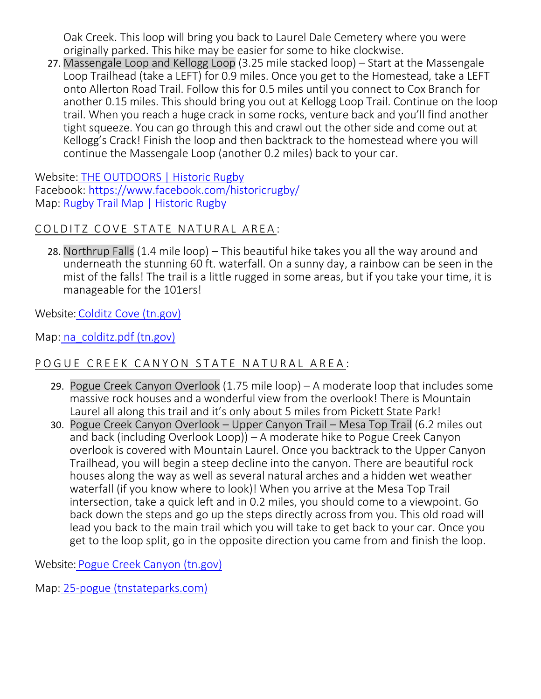Oak Creek. This loop will bring you back to Laurel Dale Cemetery where you were originally parked. This hike may be easier for some to hike clockwise.

27. Massengale Loop and Kellogg Loop (3.25 mile stacked loop) – Start at the Massengale Loop Trailhead (take a LEFT) for 0.9 miles. Once you get to the Homestead, take a LEFT onto Allerton Road Trail. Follow this for 0.5 miles until you connect to Cox Branch for another 0.15 miles. This should bring you out at Kellogg Loop Trail. Continue on the loop trail. When you reach a huge crack in some rocks, venture back and you'll find another tight squeeze. You can go through this and crawl out the other side and come out at Kellogg's Crack! Finish the loop and then backtrack to the homestead where you will continue the Massengale Loop (another 0.2 miles) back to your car.

Website: [THE OUTDOORS | Historic Rugby](https://www.historicrugby.org/the-outdoors/) Facebook: <https://www.facebook.com/historicrugby/> Map: [Rugby Trail Map | Historic Rugby](http://www.historicrugby.org/rugby-trail-map/)

# COLDITZ COVE STATE NATURAL AREA:

28. Northrup Falls (1.4 mile loop) – This beautiful hike takes you all the way around and underneath the stunning 60 ft. waterfall. On a sunny day, a rainbow can be seen in the mist of the falls! The trail is a little rugged in some areas, but if you take your time, it is manageable for the 101ers!

Website: [Colditz Cove \(tn.gov\)](https://www.tn.gov/environment/program-areas/na-natural-areas/natural-areas-east-region/east-region-/na-na-colditz-cove.html)

Map: [na\\_colditz.pdf \(tn.gov\)](https://www.tn.gov/content/dam/tn/environment/documents/na_colditz.pdf)

# POGUE CREEK CANYON STATE NATURAL AREA:

- 29. Pogue Creek Canyon Overlook (1.75 mile loop) A moderate loop that includes some massive rock houses and a wonderful view from the overlook! There is Mountain Laurel all along this trail and it's only about 5 miles from Pickett State Park!
- 30. Pogue Creek Canyon Overlook Upper Canyon Trail Mesa Top Trail (6.2 miles out and back (including Overlook Loop)) – A moderate hike to Pogue Creek Canyon overlook is covered with Mountain Laurel. Once you backtrack to the Upper Canyon Trailhead, you will begin a steep decline into the canyon. There are beautiful rock houses along the way as well as several natural arches and a hidden wet weather waterfall (if you know where to look)! When you arrive at the Mesa Top Trail intersection, take a quick left and in 0.2 miles, you should come to a viewpoint. Go back down the steps and go up the steps directly across from you. This old road will lead you back to the main trail which you will take to get back to your car. Once you get to the loop split, go in the opposite direction you came from and finish the loop.

Website: [Pogue Creek Canyon \(tn.gov\)](https://www.tn.gov/environment/program-areas/na-natural-areas/natural-areas-east-region/east-region-/na-na-pogue-creek-canyon.html)

Map: [25-pogue \(tnstateparks.com\)](https://tnstateparks.com/assets/pdf/additional-content/Pogue_Creek_Canyon_Trail_Map_2017.pdf)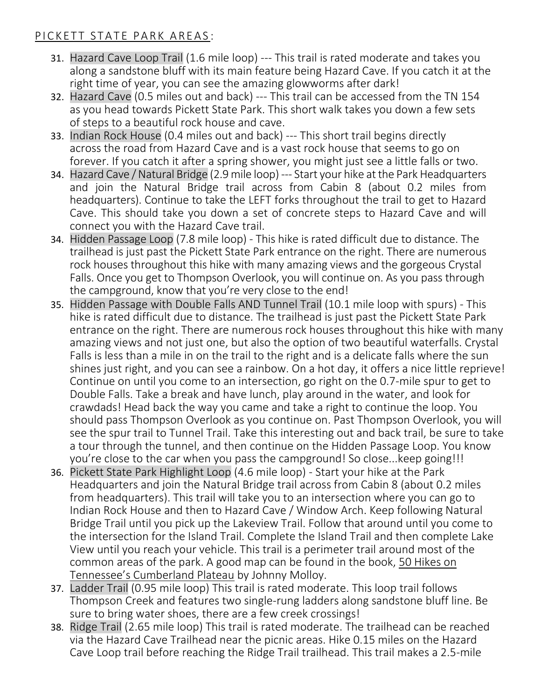#### PICKETT STATE PARK AREAS:

- 31. Hazard Cave Loop Trail (1.6 mile loop) --- This trail is rated moderate and takes you along a sandstone bluff with its main feature being Hazard Cave. If you catch it at the right time of year, you can see the amazing glowworms after dark!
- 32. Hazard Cave (0.5 miles out and back) --- This trail can be accessed from the TN 154 as you head towards Pickett State Park. This short walk takes you down a few sets of steps to a beautiful rock house and cave.
- 33. Indian Rock House (0.4 miles out and back) --- This short trail begins directly across the road from Hazard Cave and is a vast rock house that seems to go on forever. If you catch it after a spring shower, you might just see a little falls or two.
- 34. Hazard Cave / Natural Bridge (2.9 mile loop) --- Start your hike at the Park Headquarters and join the Natural Bridge trail across from Cabin 8 (about 0.2 miles from headquarters). Continue to take the LEFT forks throughout the trail to get to Hazard Cave. This should take you down a set of concrete steps to Hazard Cave and will connect you with the Hazard Cave trail.
- 34. Hidden Passage Loop (7.8 mile loop) This hike is rated difficult due to distance. The trailhead is just past the Pickett State Park entrance on the right. There are numerous rock houses throughout this hike with many amazing views and the gorgeous Crystal Falls. Once you get to Thompson Overlook, you will continue on. As you pass through the campground, know that you're very close to the end!
- 35. Hidden Passage with Double Falls AND Tunnel Trail (10.1 mile loop with spurs) This hike is rated difficult due to distance. The trailhead is just past the Pickett State Park entrance on the right. There are numerous rock houses throughout this hike with many amazing views and not just one, but also the option of two beautiful waterfalls. Crystal Falls is less than a mile in on the trail to the right and is a delicate falls where the sun shines just right, and you can see a rainbow. On a hot day, it offers a nice little reprieve! Continue on until you come to an intersection, go right on the 0.7-mile spur to get to Double Falls. Take a break and have lunch, play around in the water, and look for crawdads! Head back the way you came and take a right to continue the loop. You should pass Thompson Overlook as you continue on. Past Thompson Overlook, you will see the spur trail to Tunnel Trail. Take this interesting out and back trail, be sure to take a tour through the tunnel, and then continue on the Hidden Passage Loop. You know you're close to the car when you pass the campground! So close...keep going!!!
- 36. Pickett State Park Highlight Loop (4.6 mile loop) Start your hike at the Park Headquarters and join the Natural Bridge trail across from Cabin 8 (about 0.2 miles from headquarters). This trail will take you to an intersection where you can go to Indian Rock House and then to Hazard Cave / Window Arch. Keep following Natural Bridge Trail until you pick up the Lakeview Trail. Follow that around until you come to the intersection for the Island Trail. Complete the Island Trail and then complete Lake View until you reach your vehicle. This trail is a perimeter trail around most of the common areas of the park. A good map can be found in the book, 50 Hikes on Tennessee's Cumberland Plateau by Johnny Molloy.
- 37. Ladder Trail (0.95 mile loop) This trail is rated moderate. This loop trail follows Thompson Creek and features two single-rung ladders along sandstone bluff line. Be sure to bring water shoes, there are a few creek crossings!
- 38. Ridge Trail (2.65 mile loop) This trail is rated moderate. The trailhead can be reached via the Hazard Cave Trailhead near the picnic areas. Hike 0.15 miles on the Hazard Cave Loop trail before reaching the Ridge Trail trailhead. This trail makes a 2.5-mile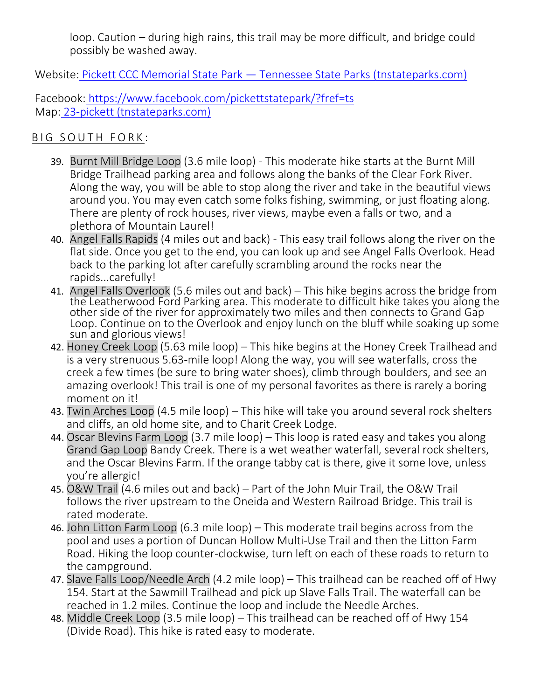loop. Caution – during high rains, this trail may be more difficult, and bridge could possibly be washed away.

Website: Pickett CCC Memorial State Park — [Tennessee State Parks \(tnstateparks.com\)](https://tnstateparks.com/parks/pickett)

Facebook: <https://www.facebook.com/pickettstatepark/?fref=ts> Map: [23-pickett \(tnstateparks.com\)](https://tnstateparks.com/assets/pdf/additional-content/park-maps/pickett-park-map.pdf)

#### BIG SOUTH FORK:

- 39. Burnt Mill Bridge Loop (3.6 mile loop) This moderate hike starts at the Burnt Mill Bridge Trailhead parking area and follows along the banks of the Clear Fork River. Along the way, you will be able to stop along the river and take in the beautiful views around you. You may even catch some folks fishing, swimming, or just floating along. There are plenty of rock houses, river views, maybe even a falls or two, and a plethora of Mountain Laurel!
- 40. Angel Falls Rapids (4 miles out and back) This easy trail follows along the river on the flat side. Once you get to the end, you can look up and see Angel Falls Overlook. Head back to the parking lot after carefully scrambling around the rocks near the rapids...carefully!
- 41. Angel Falls Overlook (5.6 miles out and back) This hike begins across the bridge from the Leatherwood Ford Parking area. This moderate to difficult hike takes you along the other side of the river for approximately two miles and then connects to Grand Gap Loop. Continue on to the Overlook and enjoy lunch on the bluff while soaking up some sun and glorious views!
- 42. Honey Creek Loop (5.63 mile loop) This hike begins at the Honey Creek Trailhead and is a very strenuous 5.63-mile loop! Along the way, you will see waterfalls, cross the creek a few times (be sure to bring water shoes), climb through boulders, and see an amazing overlook! This trail is one of my personal favorites as there is rarely a boring moment on it!
- 43. Twin Arches Loop (4.5 mile loop) This hike will take you around several rock shelters and cliffs, an old home site, and to Charit Creek Lodge.
- 44. Oscar Blevins Farm Loop (3.7 mile loop) This loop is rated easy and takes you along Grand Gap Loop Bandy Creek. There is a wet weather waterfall, several rock shelters, and the Oscar Blevins Farm. If the orange tabby cat is there, give it some love, unless you're allergic!
- 45. O&W Trail (4.6 miles out and back) Part of the John Muir Trail, the O&W Trail follows the river upstream to the Oneida and Western Railroad Bridge. This trail is rated moderate.
- 46. John Litton Farm Loop (6.3 mile loop) This moderate trail begins across from the pool and uses a portion of Duncan Hollow Multi-Use Trail and then the Litton Farm Road. Hiking the loop counter-clockwise, turn left on each of these roads to return to the campground.
- 47. Slave Falls Loop/Needle Arch (4.2 mile loop) This trailhead can be reached off of Hwy 154. Start at the Sawmill Trailhead and pick up Slave Falls Trail. The waterfall can be reached in 1.2 miles. Continue the loop and include the Needle Arches.
- 48. Middle Creek Loop (3.5 mile loop) This trailhead can be reached off of Hwy 154 (Divide Road). This hike is rated easy to moderate.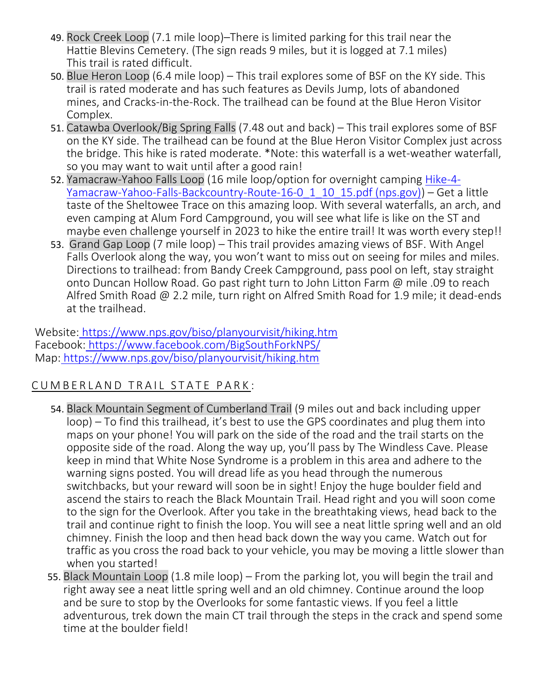- 49. Rock Creek Loop (7.1 mile loop)–There is limited parking for this trail near the Hattie Blevins Cemetery. (The sign reads 9 miles, but it is logged at 7.1 miles) This trail is rated difficult.
- 50. Blue Heron Loop (6.4 mile loop) This trail explores some of BSF on the KY side. This trail is rated moderate and has such features as Devils Jump, lots of abandoned mines, and Cracks-in-the-Rock. The trailhead can be found at the Blue Heron Visitor Complex.
- 51. Catawba Overlook/Big Spring Falls (7.48 out and back) This trail explores some of BSF on the KY side. The trailhead can be found at the Blue Heron Visitor Complex just across the bridge. This hike is rated moderate. \*Note: this waterfall is a wet-weather waterfall, so you may want to wait until after a good rain!
- 52. Yamacraw-Yahoo Falls Loop (16 mile loop/option for overnight camping [Hike-4-](https://www.nps.gov/biso/planyourvisit/upload/Hike-4-Yamacraw-Yahoo-Falls-Backcountry-Route-16-0_1_10_15.pdf) [Yamacraw-Yahoo-Falls-Backcountry-Route-16-0\\_1\\_10\\_15.pdf \(nps.gov\)\)](https://www.nps.gov/biso/planyourvisit/upload/Hike-4-Yamacraw-Yahoo-Falls-Backcountry-Route-16-0_1_10_15.pdf) – Get a little taste of the Sheltowee Trace on this amazing loop. With several waterfalls, an arch, and even camping at Alum Ford Campground, you will see what life is like on the ST and maybe even challenge yourself in 2023 to hike the entire trail! It was worth every step!!
- 53. Grand Gap Loop (7 mile loop) This trail provides amazing views of BSF. With Angel Falls Overlook along the way, you won't want to miss out on seeing for miles and miles. Directions to trailhead: from Bandy Creek Campground, pass pool on left, stay straight onto Duncan Hollow Road. Go past right turn to John Litton Farm @ mile .09 to reach Alfred Smith Road @ 2.2 mile, turn right on Alfred Smith Road for 1.9 mile; it dead-ends at the trailhead.

Website: <https://www.nps.gov/biso/planyourvisit/hiking.htm> Facebook: <https://www.facebook.com/BigSouthForkNPS/> Map: <https://www.nps.gov/biso/planyourvisit/hiking.htm>

# CUMBERLAND TRAIL STATE PARK:

- 54. Black Mountain Segment of Cumberland Trail (9 miles out and back including upper loop) – To find this trailhead, it's best to use the GPS coordinates and plug them into maps on your phone! You will park on the side of the road and the trail starts on the opposite side of the road. Along the way up, you'll pass by The Windless Cave. Please keep in mind that White Nose Syndrome is a problem in this area and adhere to the warning signs posted. You will dread life as you head through the numerous switchbacks, but your reward will soon be in sight! Enjoy the huge boulder field and ascend the stairs to reach the Black Mountain Trail. Head right and you will soon come to the sign for the Overlook. After you take in the breathtaking views, head back to the trail and continue right to finish the loop. You will see a neat little spring well and an old chimney. Finish the loop and then head back down the way you came. Watch out for traffic as you cross the road back to your vehicle, you may be moving a little slower than when you started!
- 55. Black Mountain Loop (1.8 mile loop) From the parking lot, you will begin the trail and right away see a neat little spring well and an old chimney. Continue around the loop and be sure to stop by the Overlooks for some fantastic views. If you feel a little adventurous, trek down the main CT trail through the steps in the crack and spend some time at the boulder field!